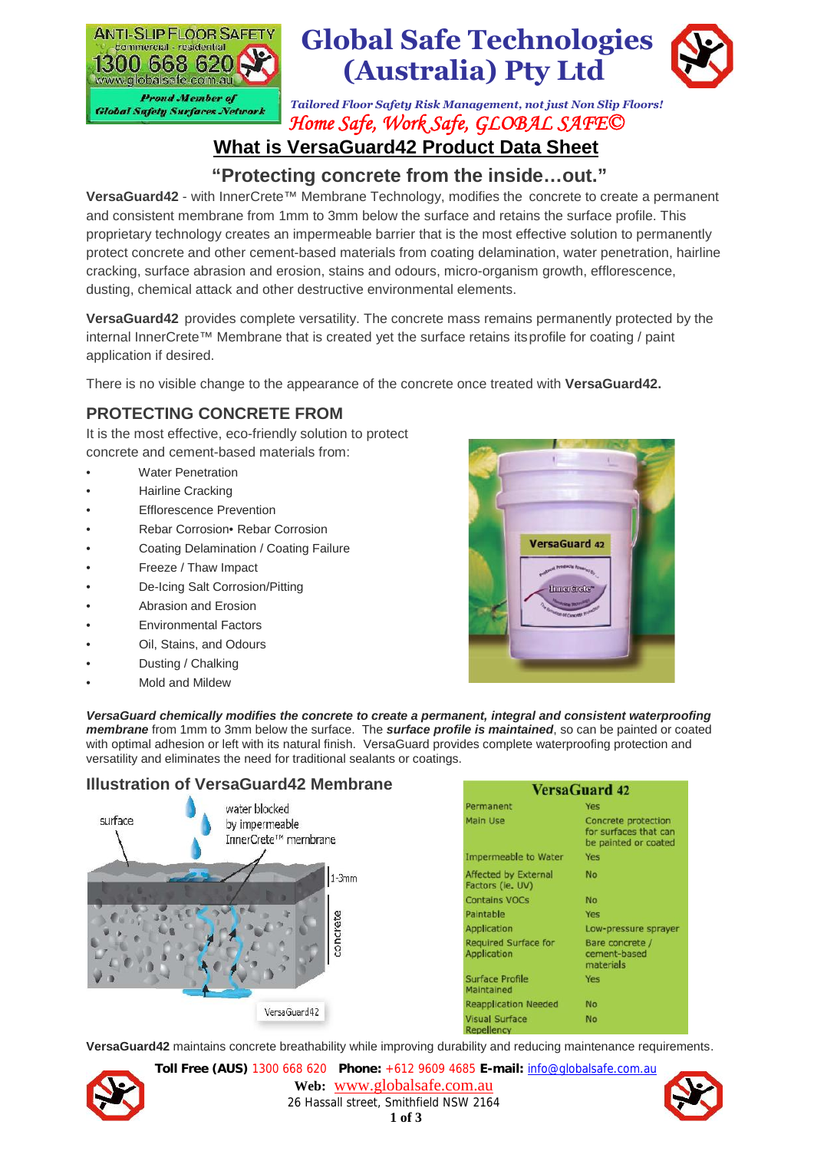

# **Global Safe Technologies (Australia) Pty Ltd**



*Tailored Floor Safety Risk Management, not just Non Slip Floors! Home Safe, Work Safe, GLOBAL SAFE©*

# **What is VersaGuard42 Product Data Sheet**

# **"Protecting concrete from the inside…out."**

**VersaGuard42** - with InnerCrete™ Membrane Technology, modifies the concrete to create a permanent and consistent membrane from 1mm to 3mm below the surface and retains the surface profile. This proprietary technology creates an impermeable barrier that is the most effective solution to permanently protect concrete and other cement-based materials from coating delamination, water penetration, hairline cracking, surface abrasion and erosion, stains and odours, micro-organism growth, efflorescence, dusting, chemical attack and other destructive environmental elements.

**VersaGuard42** provides complete versatility. The concrete mass remains permanently protected by the internal InnerCrete™ Membrane that is created yet the surface retains itsprofile for coating / paint application if desired.

There is no visible change to the appearance of the concrete once treated with **VersaGuard42.**

# **PROTECTING CONCRETE FROM**

It is the most effective, eco-friendly solution to protect concrete and cement-based materials from:

- **Water Penetration**
- Hairline Cracking
- **Efflorescence Prevention**
- Rebar Corrosion• Rebar Corrosion
- Coating Delamination / Coating Failure
- Freeze / Thaw Impact
- De-Icing Salt Corrosion/Pitting
- Abrasion and Erosion
- Environmental Factors
- Oil, Stains, and Odours
- Dusting / Chalking
- Mold and Mildew



*VersaGuard chemically modifies the concrete to create a permanent, integral and consistent waterproofing membrane* from 1mm to 3mm below the surface. The *surface profile is maintained*, so can be painted or coated with optimal adhesion or left with its natural finish. VersaGuard provides complete waterproofing protection and versatility and eliminates the need for traditional sealants or coatings.

#### **Illustration of VersaGuard42 Membrane**



**VersaGuard42** maintains concrete breathability while improving durability and reducing maintenance requirements.



**Toll Free (AUS)** 1300 668 620 **Phone:** +612 9609 4685 **E-mail:** info@globalsafe.com.au **Web:** www.globalsafe.com.au 26 Hassall street, Smithfield NSW 2164 **1 of 3**

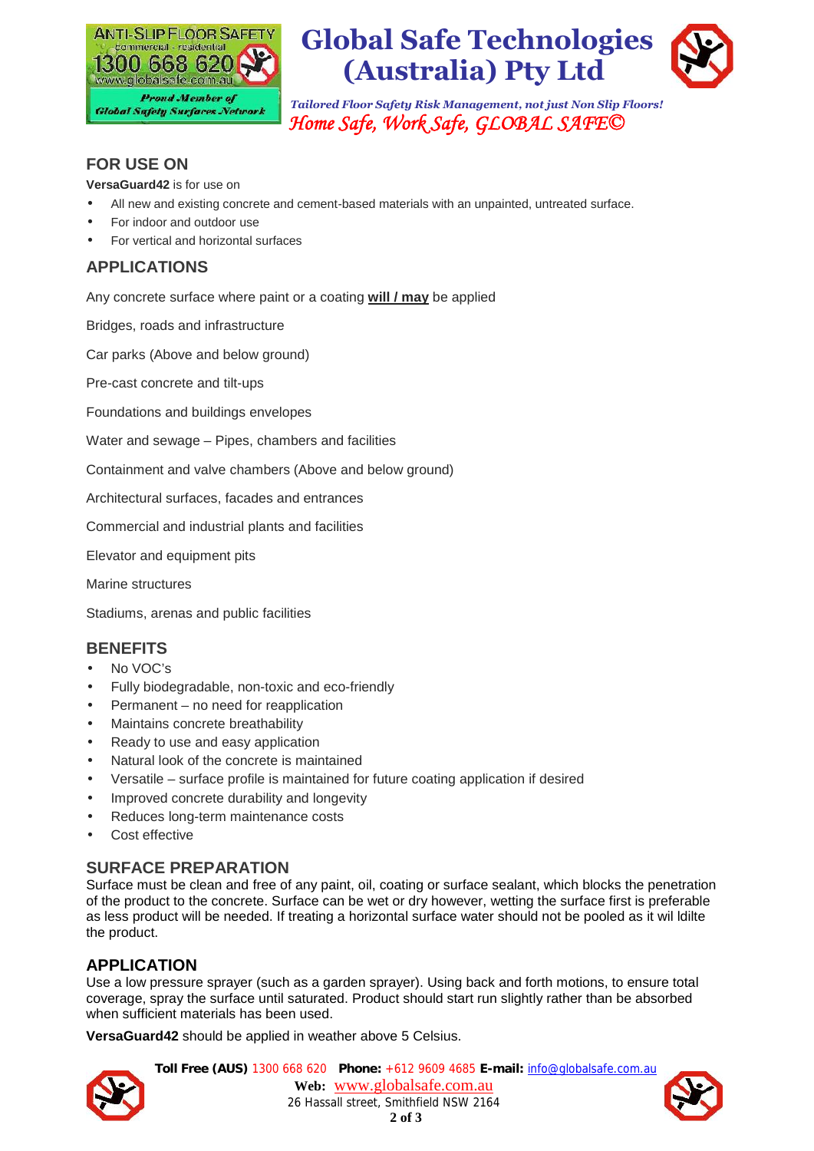



*Tailored Floor Safety Risk Management, not just Non Slip Floors! Home Safe, Work Safe, GLOBAL SAFE©*



# **FOR USE ON**

**VersaGuard42** is for use on

- All new and existing concrete and cement-based materials with an unpainted, untreated surface.
- For indoor and outdoor use
- For vertical and horizontal surfaces

# **APPLICATIONS**

Any concrete surface where paint or a coating **will / may** be applied

Bridges, roads and infrastructure

Car parks (Above and below ground)

Pre-cast concrete and tilt-ups

Foundations and buildings envelopes

Water and sewage – Pipes, chambers and facilities

Containment and valve chambers (Above and below ground)

Architectural surfaces, facades and entrances

Commercial and industrial plants and facilities

Elevator and equipment pits

Marine structures

Stadiums, arenas and public facilities

#### **BENEFITS**

- No VOC's
- Fully biodegradable, non-toxic and eco-friendly
- Permanent no need for reapplication
- Maintains concrete breathability
- Ready to use and easy application
- Natural look of the concrete is maintained
- Versatile surface profile is maintained for future coating application if desired
- Improved concrete durability and longevity
- Reduces long-term maintenance costs
- **Cost effective**

#### **SURFACE PREPARATION**

Surface must be clean and free of any paint, oil, coating or surface sealant, which blocks the penetration of the product to the concrete. Surface can be wet or dry however, wetting the surface first is preferable as less product will be needed. If treating a horizontal surface water should not be pooled as it wil ldilte the product.

## **APPLICATION**

Use a low pressure sprayer (such as a garden sprayer). Using back and forth motions, to ensure total coverage, spray the surface until saturated. Product should start run slightly rather than be absorbed when sufficient materials has been used.

**VersaGuard42** should be applied in weather above 5 Celsius.